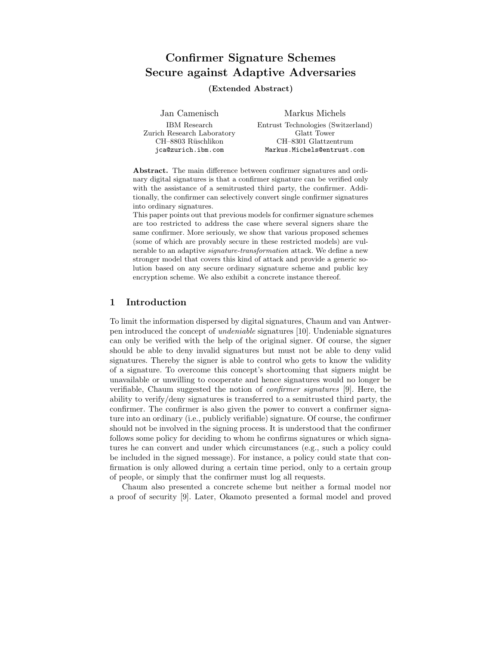# Confirmer Signature Schemes Secure against Adaptive Adversaries

(Extended Abstract)

Jan Camenisch IBM Research Zurich Research Laboratory CH-8803 Rüschlikon jca@zurich.ibm.com

Markus Michels Entrust Technologies (Switzerland) Glatt Tower CH–8301 Glattzentrum Markus.Michels@entrust.com

Abstract. The main difference between confirmer signatures and ordinary digital signatures is that a confirmer signature can be verified only with the assistance of a semitrusted third party, the confirmer. Additionally, the confirmer can selectively convert single confirmer signatures into ordinary signatures.

This paper points out that previous models for confirmer signature schemes are too restricted to address the case where several signers share the same confirmer. More seriously, we show that various proposed schemes (some of which are provably secure in these restricted models) are vulnerable to an adaptive signature-transformation attack. We define a new stronger model that covers this kind of attack and provide a generic solution based on any secure ordinary signature scheme and public key encryption scheme. We also exhibit a concrete instance thereof.

## 1 Introduction

To limit the information dispersed by digital signatures, Chaum and van Antwerpen introduced the concept of undeniable signatures [10]. Undeniable signatures can only be verified with the help of the original signer. Of course, the signer should be able to deny invalid signatures but must not be able to deny valid signatures. Thereby the signer is able to control who gets to know the validity of a signature. To overcome this concept's shortcoming that signers might be unavailable or unwilling to cooperate and hence signatures would no longer be verifiable, Chaum suggested the notion of confirmer signatures [9]. Here, the ability to verify/deny signatures is transferred to a semitrusted third party, the confirmer. The confirmer is also given the power to convert a confirmer signature into an ordinary (i.e., publicly verifiable) signature. Of course, the confirmer should not be involved in the signing process. It is understood that the confirmer follows some policy for deciding to whom he confirms signatures or which signatures he can convert and under which circumstances (e.g., such a policy could be included in the signed message). For instance, a policy could state that confirmation is only allowed during a certain time period, only to a certain group of people, or simply that the confirmer must log all requests.

Chaum also presented a concrete scheme but neither a formal model nor a proof of security [9]. Later, Okamoto presented a formal model and proved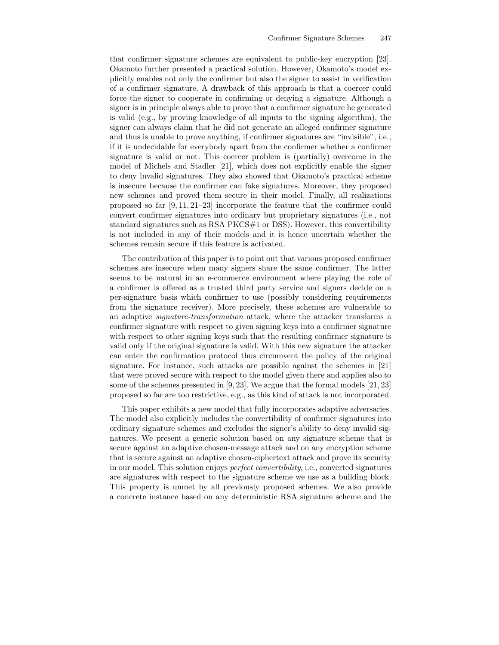that confirmer signature schemes are equivalent to public-key encryption [23]. Okamoto further presented a practical solution. However, Okamoto's model explicitly enables not only the confirmer but also the signer to assist in verification of a confirmer signature. A drawback of this approach is that a coercer could force the signer to cooperate in confirming or denying a signature. Although a signer is in principle always able to prove that a confirmer signature he generated is valid (e.g., by proving knowledge of all inputs to the signing algorithm), the signer can always claim that he did not generate an alleged confirmer signature and thus is unable to prove anything, if confirmer signatures are "invisible", i.e., if it is undecidable for everybody apart from the confirmer whether a confirmer signature is valid or not. This coercer problem is (partially) overcome in the model of Michels and Stadler [21], which does not explicitly enable the signer to deny invalid signatures. They also showed that Okamoto's practical scheme is insecure because the confirmer can fake signatures. Moreover, they proposed new schemes and proved them secure in their model. Finally, all realizations proposed so far [9, 11, 21–23] incorporate the feature that the confirmer could convert confirmer signatures into ordinary but proprietary signatures (i.e., not standard signatures such as RSA PKCS#1 or DSS). However, this convertibility is not included in any of their models and it is hence uncertain whether the schemes remain secure if this feature is activated.

The contribution of this paper is to point out that various proposed confirmer schemes are insecure when many signers share the same confirmer. The latter seems to be natural in an e-commerce environment where playing the role of a confirmer is offered as a trusted third party service and signers decide on a per-signature basis which confirmer to use (possibly considering requirements from the signature receiver). More precisely, these schemes are vulnerable to an adaptive signature-transformation attack, where the attacker transforms a confirmer signature with respect to given signing keys into a confirmer signature with respect to other signing keys such that the resulting confirmer signature is valid only if the original signature is valid. With this new signature the attacker can enter the confirmation protocol thus circumvent the policy of the original signature. For instance, such attacks are possible against the schemes in [21] that were proved secure with respect to the model given there and applies also to some of the schemes presented in [9, 23]. We argue that the formal models [21, 23] proposed so far are too restrictive, e.g., as this kind of attack is not incorporated.

This paper exhibits a new model that fully incorporates adaptive adversaries. The model also explicitly includes the convertibility of confirmer signatures into ordinary signature schemes and excludes the signer's ability to deny invalid signatures. We present a generic solution based on any signature scheme that is secure against an adaptive chosen-message attack and on any encryption scheme that is secure against an adaptive chosen-ciphertext attack and prove its security in our model. This solution enjoys perfect convertibility, i.e., converted signatures are signatures with respect to the signature scheme we use as a building block. This property is unmet by all previously proposed schemes. We also provide a concrete instance based on any deterministic RSA signature scheme and the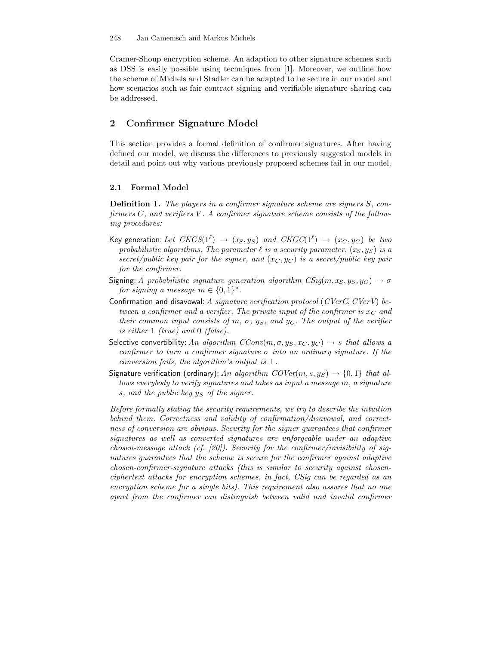Cramer-Shoup encryption scheme. An adaption to other signature schemes such as DSS is easily possible using techniques from [1]. Moreover, we outline how the scheme of Michels and Stadler can be adapted to be secure in our model and how scenarios such as fair contract signing and verifiable signature sharing can be addressed.

# 2 Confirmer Signature Model

This section provides a formal definition of confirmer signatures. After having defined our model, we discuss the differences to previously suggested models in detail and point out why various previously proposed schemes fail in our model.

### 2.1 Formal Model

Definition 1. The players in a confirmer signature scheme are signers S, confirmers  $C$ , and verifiers  $V$ . A confirmer signature scheme consists of the following procedures:

- Key generation: Let  $\mathit{CKGS}(1^{\ell}) \rightarrow (x_S, y_S)$  and  $\mathit{CKGC}(1^{\ell}) \rightarrow (x_C, y_C)$  be two probabilistic algorithms. The parameter  $\ell$  is a security parameter,  $(x_S, y_S)$  is a secret/public key pair for the signer, and  $(x_C, y_C)$  is a secret/public key pair for the confirmer.
- Signing: A probabilistic signature generation algorithm  $CSig(m, x_S, y_S, y_C) \rightarrow \sigma$ for signing a message  $m \in \{0,1\}^*$ .
- Confirmation and disavowal: A signature verification protocol (CVerC, CVerV) between a confirmer and a verifier. The private input of the confirmer is  $x_C$  and their common input consists of m,  $\sigma$ ,  $y_S$ , and  $y_C$ . The output of the verifier is either 1 (true) and 0 (false).
- Selective convertibility: An algorithm  $CConv(m, \sigma, y_S, x_C, y_C) \rightarrow s$  that allows a confirmer to turn a confirmer signature  $\sigma$  into an ordinary signature. If the conversion fails, the algorithm's output is  $\bot$ .
- Signature verification (ordinary): An algorithm  $COVer(m, s, y_S) \rightarrow \{0, 1\}$  that allows everybody to verify signatures and takes as input a message m, a signature s, and the public key  $y_S$  of the signer.

Before formally stating the security requirements, we try to describe the intuition behind them. Correctness and validity of confirmation/disavowal, and correctness of conversion are obvious. Security for the signer guarantees that confirmer signatures as well as converted signatures are unforgeable under an adaptive chosen-message attack (cf. [20]). Security for the confirmer/invisibility of signatures guarantees that the scheme is secure for the confirmer against adaptive chosen-confirmer-signature attacks (this is similar to security against chosenciphertext attacks for encryption schemes, in fact, CSig can be regarded as an encryption scheme for a single bits). This requirement also assures that no one apart from the confirmer can distinguish between valid and invalid confirmer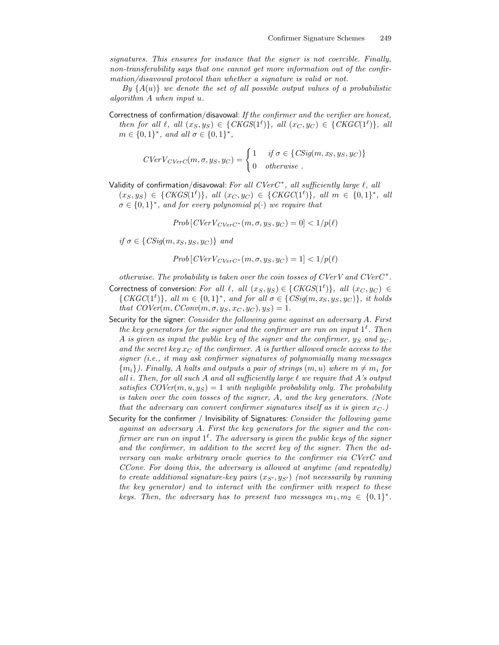signatures. This ensures for instance that the signer is not coercible. Finally, non-transferability says that one cannot get more information out of the confirmation/disavowal protocol than whether a signature is valid or not.

By  $\{A(u)\}\$  we denote the set of all possible output values of a probabilistic algorithm A when input u.

Correctness of confirmation/disavowal: If the confirmer and the verifier are honest, then for all  $\ell$ , all  $(x_S, y_S) \in \{CKGS(1^{\ell})\}$ , all  $(x_C, y_C) \in \{CKGC(1^{\ell})\}$ , all  $m \in \{0,1\}^*$ , and all  $\sigma \in \{0,1\}^*$ ,

$$
CVerV_{CVerC}(m, \sigma, y_S, y_C) = \begin{cases} 1 & \text{if } \sigma \in \{CSig(m, x_S, y_S, y_C)\} \\ 0 & \text{otherwise} \end{cases}
$$

Validity of confirmation/disavowal: For all  $\overline{CVerC^*}$ , all sufficiently large  $\ell$ , all

 $(x_S, y_S) \in \{CKGS(1^{\ell})\}, \ all \ (x_C, y_C) \in \{CKGC(1^{\ell})\}, \ all \ m \in \{0, 1\}^*, \ all$  $\sigma \in \{0,1\}^*$ , and for every polynomial  $p(\cdot)$  we require that

 $Prob[CV_{CVerC^*}(m, \sigma, y_S, y_C) = 0] < 1/p(\ell)$ 

if  $\sigma \in \{CSig(m, x_S, y_S, y_C)\}$  and

$$
Prob[CVerV_{CVerC^*}(m, \sigma, y_S, y_C) = 1] < 1/p(\ell)
$$

otherwise. The probability is taken over the coin tosses of  $CVerV$  and  $CVerC^*$ .

- Correctness of conversion: For all  $\ell$ , all  $(x_S, y_S) \in \{CKGS(1^{\ell})\}$ , all  $(x_C, y_C) \in$  ${CKGC(1<sup>l</sup>)}, all m \in {0,1}<sup>*</sup>, and for all  $\sigma \in {CSig(m, x_S, y_S, y_C)}$ , it holds$ that  $COVer(m, CConv(m, \sigma, y_S, x_C, y_C), y_S) = 1.$
- Security for the signer: Consider the following game against an adversary A. First the key generators for the signer and the confirmer are run on input  $1^{\ell}$ . Then A is given as input the public key of the signer and the confirmer,  $y_S$  and  $y_C$ , and the secret key  $x_C$  of the confirmer. A is further allowed oracle access to the signer (i.e., it may ask confirmer signatures of polynomially many messages  ${m_i}$ ). Finally, A halts and outputs a pair of strings  $(m, u)$  where  $m \neq m_i$  for all i. Then, for all such A and all sufficiently large  $\ell$  we require that A's output satisfies  $COVer(m, u, y_S) = 1$  with negligible probability only. The probability is taken over the coin tosses of the signer, A, and the key generators. (Note that the adversary can convert confirmer signatures itself as it is given  $x_C$ .)
- Security for the confirmer / Invisibility of Signatures: Consider the following game against an adversary A. First the key generators for the signer and the confirmer are run on input  $1^{\ell}$ . The adversary is given the public keys of the signer and the confirmer, in addition to the secret key of the signer. Then the adversary can make arbitrary oracle queries to the confirmer via CVerC and CConv. For doing this, the adversary is allowed at anytime (and repeatedly) to create additional signature-key pairs  $(x_{S}, y_{S})$  (not necessarily by running the key generator) and to interact with the confirmer with respect to these keys. Then, the adversary has to present two messages  $m_1, m_2 \in \{0, 1\}^*$ .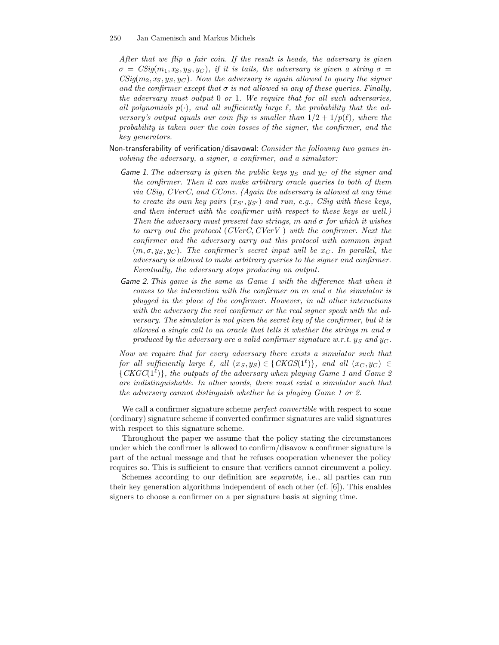After that we flip a fair coin. If the result is heads, the adversary is given  $\sigma = C\text{Sig}(m_1, x_S, y_S, y_C)$ , if it is tails, the adversary is given a string  $\sigma =$  $CSig(m_2, x_S, y_S, y_C)$ . Now the adversary is again allowed to query the signer and the confirmer except that  $\sigma$  is not allowed in any of these queries. Finally, the adversary must output 0 or 1. We require that for all such adversaries, all polynomials  $p(\cdot)$ , and all sufficiently large  $\ell$ , the probability that the adversary's output equals our coin flip is smaller than  $1/2 + 1/p(\ell)$ , where the probability is taken over the coin tosses of the signer, the confirmer, and the key generators.

- Non-transferability of verification/disavowal: Consider the following two games involving the adversary, a signer, a confirmer, and a simulator:
	- Game 1. The adversary is given the public keys  $y_S$  and  $y_C$  of the signer and the confirmer. Then it can make arbitrary oracle queries to both of them via CSig, CVerC, and CConv. (Again the adversary is allowed at any time to create its own key pairs  $(x_{S}, y_{S})$  and run, e.g., CSig with these keys, and then interact with the confirmer with respect to these keys as well.) Then the adversary must present two strings, m and  $\sigma$  for which it wishes to carry out the protocol  $(CVerC, CVerV)$  with the confirmer. Next the confirmer and the adversary carry out this protocol with common input  $(m, \sigma, y_S, y_C)$ . The confirmer's secret input will be  $x_C$ . In parallel, the adversary is allowed to make arbitrary queries to the signer and confirmer. Eventually, the adversary stops producing an output.
	- Game 2. This game is the same as Game 1 with the difference that when it comes to the interaction with the confirmer on m and  $\sigma$  the simulator is plugged in the place of the confirmer. However, in all other interactions with the adversary the real confirmer or the real signer speak with the adversary. The simulator is not given the secret key of the confirmer, but it is allowed a single call to an oracle that tells it whether the strings m and  $\sigma$ produced by the adversary are a valid confirmer signature w.r.t.  $y_S$  and  $y_C$ .

Now we require that for every adversary there exists a simulator such that for all sufficiently large  $\ell$ , all  $(x_S, y_S) \in \{CKGS(1^{\ell})\}$ , and all  $(x_C, y_C) \in$  ${CKGC(1^{\ell})},$  the outputs of the adversary when playing Game 1 and Game 2 are indistinguishable. In other words, there must exist a simulator such that the adversary cannot distinguish whether he is playing Game 1 or 2.

We call a confirmer signature scheme perfect convertible with respect to some (ordinary) signature scheme if converted confirmer signatures are valid signatures with respect to this signature scheme.

Throughout the paper we assume that the policy stating the circumstances under which the confirmer is allowed to confirm/disavow a confirmer signature is part of the actual message and that he refuses cooperation whenever the policy requires so. This is sufficient to ensure that verifiers cannot circumvent a policy.

Schemes according to our definition are separable, i.e., all parties can run their key generation algorithms independent of each other (cf. [6]). This enables signers to choose a confirmer on a per signature basis at signing time.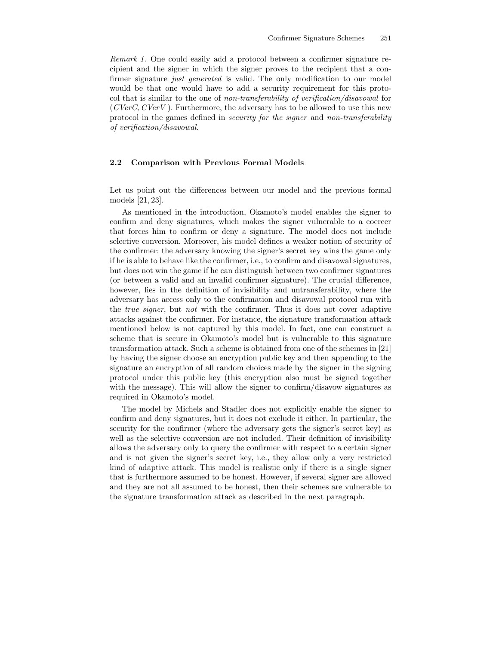Remark 1. One could easily add a protocol between a confirmer signature recipient and the signer in which the signer proves to the recipient that a confirmer signature *just generated* is valid. The only modification to our model would be that one would have to add a security requirement for this protocol that is similar to the one of non-transferability of verification/disavowal for  $(CVerC, CVerV)$ . Furthermore, the adversary has to be allowed to use this new protocol in the games defined in security for the signer and non-transferability of verification/disavowal.

#### 2.2 Comparison with Previous Formal Models

Let us point out the differences between our model and the previous formal models [21, 23].

As mentioned in the introduction, Okamoto's model enables the signer to confirm and deny signatures, which makes the signer vulnerable to a coercer that forces him to confirm or deny a signature. The model does not include selective conversion. Moreover, his model defines a weaker notion of security of the confirmer: the adversary knowing the signer's secret key wins the game only if he is able to behave like the confirmer, i.e., to confirm and disavowal signatures, but does not win the game if he can distinguish between two confirmer signatures (or between a valid and an invalid confirmer signature). The crucial difference, however, lies in the definition of invisibility and untransferability, where the adversary has access only to the confirmation and disavowal protocol run with the true signer, but not with the confirmer. Thus it does not cover adaptive attacks against the confirmer. For instance, the signature transformation attack mentioned below is not captured by this model. In fact, one can construct a scheme that is secure in Okamoto's model but is vulnerable to this signature transformation attack. Such a scheme is obtained from one of the schemes in [21] by having the signer choose an encryption public key and then appending to the signature an encryption of all random choices made by the signer in the signing protocol under this public key (this encryption also must be signed together with the message). This will allow the signer to confirm/disavow signatures as required in Okamoto's model.

The model by Michels and Stadler does not explicitly enable the signer to confirm and deny signatures, but it does not exclude it either. In particular, the security for the confirmer (where the adversary gets the signer's secret key) as well as the selective conversion are not included. Their definition of invisibility allows the adversary only to query the confirmer with respect to a certain signer and is not given the signer's secret key, i.e., they allow only a very restricted kind of adaptive attack. This model is realistic only if there is a single signer that is furthermore assumed to be honest. However, if several signer are allowed and they are not all assumed to be honest, then their schemes are vulnerable to the signature transformation attack as described in the next paragraph.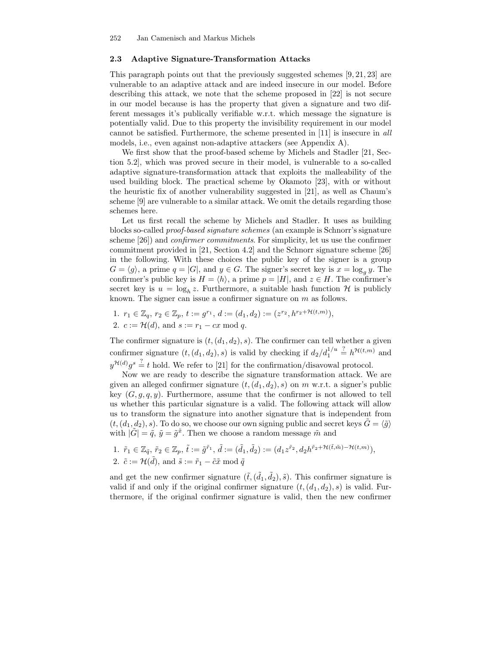#### 2.3 Adaptive Signature-Transformation Attacks

This paragraph points out that the previously suggested schemes  $[9, 21, 23]$  are vulnerable to an adaptive attack and are indeed insecure in our model. Before describing this attack, we note that the scheme proposed in [22] is not secure in our model because is has the property that given a signature and two different messages it's publically verifiable w.r.t. which message the signature is potentially valid. Due to this property the invisibility requirement in our model cannot be satisfied. Furthermore, the scheme presented in [11] is insecure in all models, i.e., even against non-adaptive attackers (see Appendix A).

We first show that the proof-based scheme by Michels and Stadler [21, Section 5.2], which was proved secure in their model, is vulnerable to a so-called adaptive signature-transformation attack that exploits the malleability of the used building block. The practical scheme by Okamoto [23], with or without the heuristic fix of another vulnerability suggested in [21], as well as Chaum's scheme [9] are vulnerable to a similar attack. We omit the details regarding those schemes here.

Let us first recall the scheme by Michels and Stadler. It uses as building blocks so-called proof-based signature schemes (an example is Schnorr's signature scheme [26]) and confirmer commitments. For simplicity, let us use the confirmer commitment provided in [21, Section 4.2] and the Schnorr signature scheme [26] in the following. With these choices the public key of the signer is a group  $G = \langle q \rangle$ , a prime  $q = |G|$ , and  $y \in G$ . The signer's secret key is  $x = \log_q y$ . The confirmer's public key is  $H = \langle h \rangle$ , a prime  $p = |H|$ , and  $z \in H$ . The confirmer's secret key is  $u = \log_h z$ . Furthermore, a suitable hash function  $\mathcal H$  is publicly known. The signer can issue a confirmer signature on m as follows.

- 1.  $r_1 \in \mathbb{Z}_q$ ,  $r_2 \in \mathbb{Z}_p$ ,  $t := g^{r_1}$ ,  $d := (d_1, d_2) := (z^{r_2}, h^{r_2 + \mathcal{H}(t,m)})$ ,
- 2.  $c := \mathcal{H}(d)$ , and  $s := r_1 cx \mod q$ .

The confirmer signature is  $(t, (d_1, d_2), s)$ . The confirmer can tell whether a given confirmer signature  $(t, (d_1, d_2), s)$  is valid by checking if  $d_2/d_1^{1/u} \stackrel{?}{=} h^{\mathcal{H}(t,m)}$  and  $y^{\mathcal{H}(d)}g^s \stackrel{?}{=} t$  hold. We refer to [21] for the confirmation/disavowal protocol.

Now we are ready to describe the signature transformation attack. We are given an alleged confirmer signature  $(t, (d_1, d_2), s)$  on m w.r.t. a signer's public key  $(G, g, q, y)$ . Furthermore, assume that the confirmer is not allowed to tell us whether this particular signature is a valid. The following attack will allow us to transform the signature into another signature that is independent from  $(t,(d_1,d_2),s)$ . To do so, we choose our own signing public and secret keys  $G = \langle \tilde{g} \rangle$ with  $|\tilde{G}| = \tilde{q}, \tilde{y} = \tilde{g}^{\tilde{x}}$ . Then we choose a random message  $\tilde{m}$  and

1. 
$$
\tilde{r}_1 \in \mathbb{Z}_{\tilde{q}}
$$
,  $\tilde{r}_2 \in \mathbb{Z}_p$ ,  $\tilde{t} := \tilde{g}^{\tilde{r}_1}$ ,  $\tilde{d} := (\tilde{d}_1, \tilde{d}_2) := (d_1 z^{\tilde{r}_2}, d_2 h^{\tilde{r}_2 + \mathcal{H}(\tilde{t}, \tilde{m}) - \mathcal{H}(t, m)})$ ,  
2.  $\tilde{c} := \mathcal{H}(\tilde{d})$ , and  $\tilde{s} := \tilde{r}_1 - \tilde{c}\tilde{x} \mod \tilde{q}$ 

and get the new confirmer signature  $(\tilde{t}, (\tilde{d}_1, \tilde{d}_2), \tilde{s})$ . This confirmer signature is valid if and only if the original confirmer signature  $(t, (d_1, d_2), s)$  is valid. Furthermore, if the original confirmer signature is valid, then the new confirmer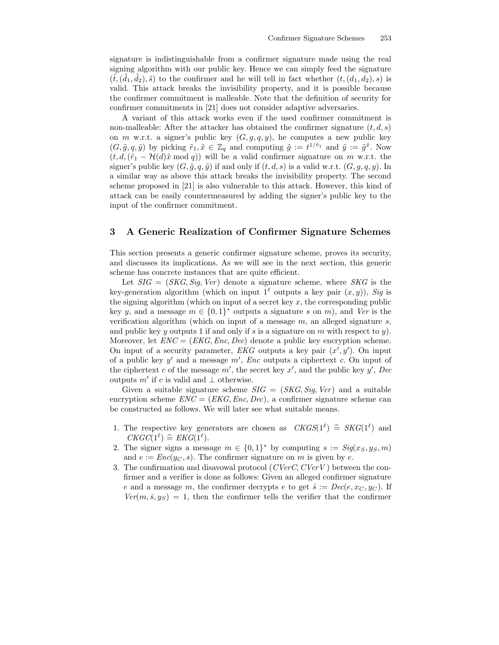signature is indistinguishable from a confirmer signature made using the real signing algorithm with our public key. Hence we can simply feed the signature  $(\tilde{t},(\tilde{d}_1,\tilde{d}_2),\tilde{s})$  to the confirmer and he will tell in fact whether  $(t,(d_1,d_2),s)$  is valid. This attack breaks the invisibility property, and it is possible because the confirmer commitment is malleable. Note that the definition of security for confirmer commitments in [21] does not consider adaptive adversaries.

A variant of this attack works even if the used confirmer commitment is non-malleable: After the attacker has obtained the confirmer signature  $(t, d, s)$ on m w.r.t. a signer's public key  $(G, g, q, y)$ , he computes a new public key  $(G, \tilde{g}, q, \tilde{y})$  by picking  $\tilde{r}_1, \tilde{x} \in \mathbb{Z}_q$  and computing  $\tilde{g} := t^{1/\tilde{r}_1}$  and  $\tilde{y} := \tilde{g}^{\tilde{x}}$ . Now  $(t, d,(\tilde{r}_1 - \mathcal{H}(d)\tilde{x} \mod q))$  will be a valid confirmer signature on m w.r.t. the signer's public key  $(G, \tilde{g}, q, \tilde{y})$  if and only if  $(t, d, s)$  is a valid w.r.t.  $(G, g, q, y)$ . In a similar way as above this attack breaks the invisibility property. The second scheme proposed in [21] is also vulnerable to this attack. However, this kind of attack can be easily countermeasured by adding the signer's public key to the input of the confirmer commitment.

### 3 A Generic Realization of Confirmer Signature Schemes

This section presents a generic confirmer signature scheme, proves its security, and discusses its implications. As we will see in the next section, this generic scheme has concrete instances that are quite efficient.

Let  $SIG = (SKG, Sig, Ver)$  denote a signature scheme, where  $SKG$  is the key-generation algorithm (which on input  $1^{\ell}$  outputs a key pair  $(x, y)$ ), Sig is the signing algorithm (which on input of a secret key  $x$ , the corresponding public key y, and a message  $m \in \{0,1\}^*$  outputs a signature s on m), and Ver is the verification algorithm (which on input of a message  $m$ , an alleged signature  $s$ , and public key y outputs 1 if and only if s is a signature on m with respect to y). Moreover, let  $ENC = (EKG, Enc, Dec)$  denote a public key encryption scheme. On input of a security parameter,  $EKG$  outputs a key pair  $(x', y')$ . On input of a public key  $y'$  and a message  $m'$ , Enc outputs a ciphertext c. On input of the ciphertext c of the message  $m'$ , the secret key  $x'$ , and the public key  $y'$ , Dec outputs  $m'$  if c is valid and  $\perp$  otherwise.

Given a suitable signature scheme  $SIG = (SKG, Sig, Ver)$  and a suitable encryption scheme  $ENC = (EKG, Enc, Dec)$ , a confirmer signature scheme can be constructed as follows. We will later see what suitable means.

- 1. The respective key generators are chosen as  $CKGS(1^{\ell}) \cong SKG(1^{\ell})$  and  $CKGS(1^{\ell}) \cong SKG(1^{\ell})$  $CKGC(1^{\ell}) \cong EKG(1^{\ell}).$
- 2. The signer signs a message  $m \in \{0,1\}^*$  by computing  $s := Sig(x_S, y_S, m)$ and  $e := Enc(y_C, s)$ . The confirmer signature on m is given by e.
- 3. The confirmation and disavowal protocol  $(CVerC, CVerV)$  between the confirmer and a verifier is done as follows: Given an alleged confirmer signature e and a message m, the confirmer decrypts e to get  $\hat{s} := Dec(e, x_C, y_C)$ . If  $Ver(m, \hat{s}, y_S) = 1$ , then the confirmer tells the verifier that the confirmer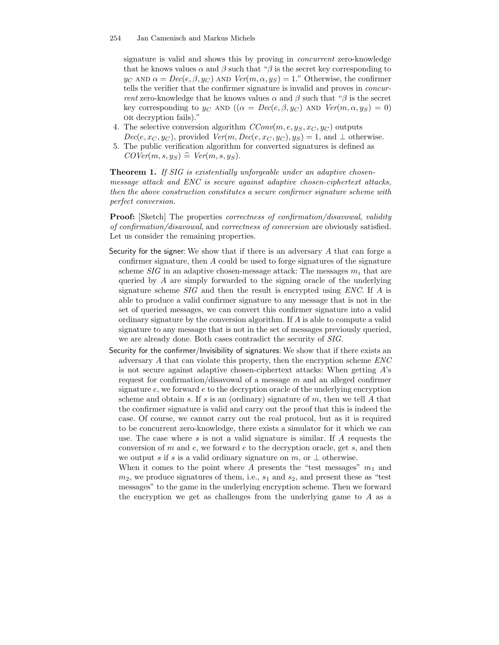signature is valid and shows this by proving in concurrent zero-knowledge that he knows values  $\alpha$  and  $\beta$  such that " $\beta$  is the secret key corresponding to  $y_C$  AND  $\alpha = Dec(e, \beta, y_C)$  AND  $Ver(m, \alpha, y_S) = 1$ ." Otherwise, the confirmer tells the verifier that the confirmer signature is invalid and proves in concur*rent* zero-knowledge that he knows values  $\alpha$  and  $\beta$  such that " $\beta$  is the secret key corresponding to  $y_C$  AND  $((\alpha = Dec(e, \beta, y_C)$  AND  $Ver(m, \alpha, y_S) = 0)$ or decryption fails)."

- 4. The selective conversion algorithm  $CConv(m, e, y_S, x_C, y_C)$  outputs  $Dec(e, x_C, y_C)$ , provided  $Ver(m, Dec(e, x_C, y_C), y_S) = 1$ , and  $\perp$  otherwise.
- 5. The public verification algorithm for converted signatures is defined as  $\text{COver}(m, s, y_S) \hat{=} \text{Ver}(m, s, y_S).$

**Theorem 1.** If SIG is existentially unforgeable under an adaptive chosenmessage attack and ENC is secure against adaptive chosen-ciphertext attacks, then the above construction constitutes a secure confirmer signature scheme with perfect conversion.

**Proof:** [Sketch] The properties *correctness of confirmation/disavowal, validity* of confirmation/disavowal, and correctness of conversion are obviously satisfied. Let us consider the remaining properties.

- Security for the signer: We show that if there is an adversary A that can forge a confirmer signature, then A could be used to forge signatures of the signature scheme  $SIG$  in an adaptive chosen-message attack: The messages  $m_i$  that are queried by A are simply forwarded to the signing oracle of the underlying signature scheme SIG and then the result is encrypted using ENC. If A is able to produce a valid confirmer signature to any message that is not in the set of queried messages, we can convert this confirmer signature into a valid ordinary signature by the conversion algorithm. If A is able to compute a valid signature to any message that is not in the set of messages previously queried, we are already done. Both cases contradict the security of SIG.
- Security for the confirmer/Invisibility of signatures: We show that if there exists an adversary A that can violate this property, then the encryption scheme ENC is not secure against adaptive chosen-ciphertext attacks: When getting A's request for confirmation/disavowal of a message  $m$  and an alleged confirmer signature  $e$ , we forward  $e$  to the decryption oracle of the underlying encryption scheme and obtain s. If s is an (ordinary) signature of  $m$ , then we tell A that the confirmer signature is valid and carry out the proof that this is indeed the case. Of course, we cannot carry out the real protocol, but as it is required to be concurrent zero-knowledge, there exists a simulator for it which we can use. The case where s is not a valid signature is similar. If A requests the conversion of  $m$  and  $e$ , we forward  $e$  to the decryption oracle, get  $s$ , and then we output s if s is a valid ordinary signature on m, or  $\perp$  otherwise.

When it comes to the point where A presents the "test messages"  $m_1$  and  $m_2$ , we produce signatures of them, i.e.,  $s_1$  and  $s_2$ , and present these as "test" messages" to the game in the underlying encryption scheme. Then we forward the encryption we get as challenges from the underlying game to  $A$  as a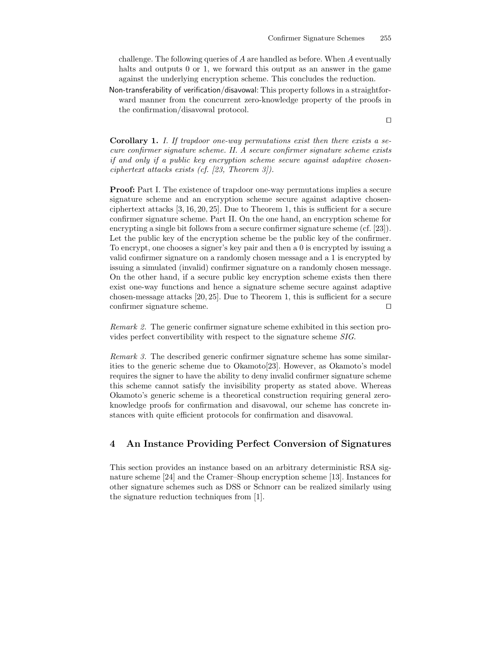challenge. The following queries of A are handled as before. When A eventually halts and outputs 0 or 1, we forward this output as an answer in the game against the underlying encryption scheme. This concludes the reduction.

Non-transferability of verification/disavowal: This property follows in a straightforward manner from the concurrent zero-knowledge property of the proofs in the confirmation/disavowal protocol.

Corollary 1. I. If trapdoor one-way permutations exist then there exists a secure confirmer signature scheme. II. A secure confirmer signature scheme exists if and only if a public key encryption scheme secure against adaptive chosenciphertext attacks exists (cf. [23, Theorem 3]).

Proof: Part I. The existence of trapdoor one-way permutations implies a secure signature scheme and an encryption scheme secure against adaptive chosenciphertext attacks [3, 16, 20, 25]. Due to Theorem 1, this is sufficient for a secure confirmer signature scheme. Part II. On the one hand, an encryption scheme for encrypting a single bit follows from a secure confirmer signature scheme (cf. [23]). Let the public key of the encryption scheme be the public key of the confirmer. To encrypt, one chooses a signer's key pair and then a 0 is encrypted by issuing a valid confirmer signature on a randomly chosen message and a 1 is encrypted by issuing a simulated (invalid) confirmer signature on a randomly chosen message. On the other hand, if a secure public key encryption scheme exists then there exist one-way functions and hence a signature scheme secure against adaptive chosen-message attacks [20, 25]. Due to Theorem 1, this is sufficient for a secure confirmer signature scheme.  $\Box$ 

Remark 2. The generic confirmer signature scheme exhibited in this section provides perfect convertibility with respect to the signature scheme SIG.

Remark 3. The described generic confirmer signature scheme has some similarities to the generic scheme due to Okamoto[23]. However, as Okamoto's model requires the signer to have the ability to deny invalid confirmer signature scheme this scheme cannot satisfy the invisibility property as stated above. Whereas Okamoto's generic scheme is a theoretical construction requiring general zeroknowledge proofs for confirmation and disavowal, our scheme has concrete instances with quite efficient protocols for confirmation and disavowal.

# 4 An Instance Providing Perfect Conversion of Signatures

This section provides an instance based on an arbitrary deterministic RSA signature scheme [24] and the Cramer–Shoup encryption scheme [13]. Instances for other signature schemes such as DSS or Schnorr can be realized similarly using the signature reduction techniques from [1].

 $\Box$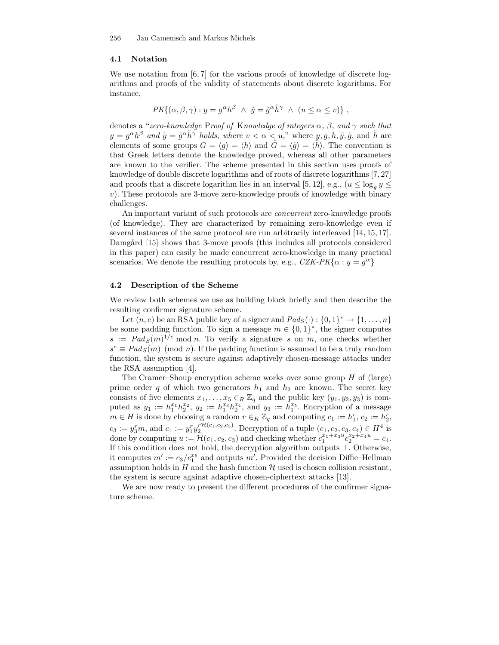#### 4.1 Notation

We use notation from  $[6, 7]$  for the various proofs of knowledge of discrete logarithms and proofs of the validity of statements about discrete logarithms. For instance,

$$
PK\{(\alpha,\beta,\gamma): y = g^{\alpha}h^{\beta} \ \wedge \ \tilde{y} = \tilde{g}^{\alpha}\tilde{h}^{\gamma} \ \wedge \ (u \leq \alpha \leq v)\},
$$

denotes a "zero-knowledge Proof of Knowledge of integers  $\alpha$ ,  $\beta$ , and  $\gamma$  such that  $y = g^{\alpha} h^{\beta}$  and  $\tilde{y} = \tilde{g}^{\alpha} \tilde{h}^{\gamma}$  holds, where  $v < \alpha < u$ ," where  $y, g, h, \tilde{y}, \tilde{g}$ , and  $\tilde{h}$  are elements of some groups  $G = \langle g \rangle = \langle h \rangle$  and  $\tilde{G} = \langle \tilde{g} \rangle = \langle \tilde{h} \rangle$ . The convention is that Greek letters denote the knowledge proved, whereas all other parameters are known to the verifier. The scheme presented in this section uses proofs of knowledge of double discrete logarithms and of roots of discrete logarithms [7, 27] and proofs that a discrete logarithm lies in an interval [5, 12], e.g.,  $(u \le \log_a y \le$ v). These protocols are 3-move zero-knowledge proofs of knowledge with binary challenges.

An important variant of such protocols are concurrent zero-knowledge proofs (of knowledge). They are characterized by remaining zero-knowledge even if several instances of the same protocol are run arbitrarily interleaved [14, 15, 17]. Damgård [15] shows that 3-move proofs (this includes all protocols considered in this paper) can easily be made concurrent zero-knowledge in many practical scenarios. We denote the resulting protocols by, e.g.,  $CZK-PK\{\alpha : y = g^{\alpha}\}\$ 

#### 4.2 Description of the Scheme

We review both schemes we use as building block briefly and then describe the resulting confirmer signature scheme.

Let  $(n, e)$  be an RSA public key of a signer and  $Pad_S(\cdot) : \{0, 1\}^* \to \{1, ..., n\}$ be some padding function. To sign a message  $m \in \{0,1\}^*$ , the signer computes  $s := \text{Pad}_S(m)^{1/e}$  mod n. To verify a signature s on m, one checks whether  $s^e \equiv Pad_S(m) \pmod{n}$ . If the padding function is assumed to be a truly random function, the system is secure against adaptively chosen-message attacks under the RSA assumption [4].

The Cramer–Shoup encryption scheme works over some group  $H$  of (large) prime order q of which two generators  $h_1$  and  $h_2$  are known. The secret key consists of five elements  $x_1, \ldots, x_5 \in_R \mathbb{Z}_q$  and the public key  $(y_1, y_2, y_3)$  is computed as  $y_1 := h_1^{x_1} h_2^{x_2}$ ,  $y_2 := h_1^{x_3} h_2^{x_4}$ , and  $y_3 := h_1^{x_5}$ . Encryption of a message  $m \in H$  is done by choosing a random  $r \in_R \mathbb{Z}_q$  and computing  $c_1 := h_1^r, c_2 := h_2^r$ ,  $c_3 := y_3^r m$ , and  $c_4 := y_1^r y_2^{r\mathcal{H}(c_1, c_2, c_3)}$ . Decryption of a tuple  $(c_1, c_2, c_3, c_4) \in H^4$  is done by computing  $u := \mathcal{H}(c_1, c_2, c_3)$  and checking whether  $c_1^{x_1+x_3u} c_2^{x_2+x_4u} = c_4$ . If this condition does not hold, the decryption algorithm outputs ⊥. Otherwise, it computes  $m' := c_3/c_1^{x_5}$  and outputs  $m'$ . Provided the decision Diffie–Hellman assumption holds in  $H$  and the hash function  $H$  used is chosen collision resistant, the system is secure against adaptive chosen-ciphertext attacks [13].

We are now ready to present the different procedures of the confirmer signature scheme.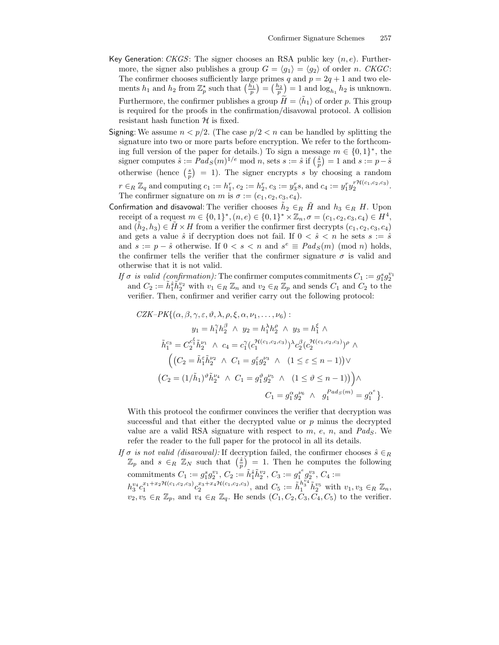- Key Generation: CKGS: The signer chooses an RSA public key  $(n, e)$ . Furthermore, the signer also publishes a group  $G = \langle g_1 \rangle = \langle g_2 \rangle$  of order n. CKGC: The confirmer chooses sufficiently large primes q and  $p = 2q + 1$  and two elements  $h_1$  and  $h_2$  from  $\mathbb{Z}_p^{\star}$  such that  $\left(\frac{h_1}{p}\right) = \left(\frac{h_2}{p}\right) = 1$  and  $\log_{h_1} h_2$  is unknown. Furthermore, the confirmer publishes a group  $\widetilde{H} = \langle \widetilde{h}_1 \rangle$  of order p. This group is required for the proofs in the confirmation/disavowal protocol. A collision resistant hash function  $H$  is fixed.
- Signing: We assume  $n < p/2$ . (The case  $p/2 < n$  can be handled by splitting the signature into two or more parts before encryption. We refer to the forthcoming full version of the paper for details.) To sign a message  $m \in \{0,1\}^*$ , the signer computes  $\hat{s} := Pad_S(m)^{1/e} \mod n$ , sets  $s := \hat{s}$  if  $\left(\frac{\hat{s}}{p}\right) = 1$  and  $s := p - \hat{s}$ otherwise (hence  $\left(\frac{s}{p}\right) = 1$ ). The signer encrypts s by choosing a random  $r \in_R \mathbb{Z}_q$  and computing  $c_1 := h_1^r, c_2 := h_2^r, c_3 := y_3^r s$ , and  $c_4 := y_1^r y_2^{r\mathcal{H}(c_1, c_2, c_3)}$ . The confirmer signature on m is  $\sigma := (c_1, c_2, c_3, c_4)$ .
- Confirmation and disavowal: The verifier chooses  $\tilde{h}_2 \in_R \tilde{H}$  and  $h_3 \in_R H$ . Upon receipt of a request  $m \in \{0,1\}^*, (n, e) \in \{0,1\}^* \times \mathbb{Z}_n, \sigma = (c_1, c_2, c_3, c_4) \in H^4$ , and  $(\tilde{h}_2, h_3) \in \tilde{H} \times H$  from a verifier the confirmer first decrypts  $(c_1, c_2, c_3, c_4)$ and gets a value  $\hat{s}$  if decryption does not fail. If  $0 < \hat{s} < n$  he sets  $s := \hat{s}$ and  $s := p - \hat{s}$  otherwise. If  $0 < s < n$  and  $s^e \equiv \text{Pad}_S(m) \pmod{n}$  holds, the confirmer tells the verifier that the confirmer signature  $\sigma$  is valid and otherwise that it is not valid.
	- If  $\sigma$  is valid (confirmation): The confirmer computes commitments  $C_1 := g_1^s g_2^{v_1}$ and  $C_2 := \tilde{h}_1^s \tilde{h}_2^{v_2}$  with  $v_1 \in_R \mathbb{Z}_n$  and  $v_2 \in_R \mathbb{Z}_p$  and sends  $C_1$  and  $C_2$  to the verifier. Then, confirmer and verifier carry out the following protocol:

$$
CZK-PK\{ (\alpha, \beta, \gamma, \varepsilon, \vartheta, \lambda, \rho, \xi, \alpha, \nu_1, \dots, \nu_6) : \ny_1 = h_1^{\gamma} h_2^{\beta} \wedge y_2 = h_1^{\lambda} h_2^{\rho} \wedge y_3 = h_1^{\xi} \wedge \n\tilde{h}_1^{c_3} = C_2^{c_1^{\xi}} \tilde{h}_2^{\nu_1} \wedge c_4 = c_1^{\gamma} (c_1^{\mathcal{H}(c_1, c_2, c_3)})^{\lambda} c_2^{\beta} (c_2^{\mathcal{H}(c_1, c_2, c_3)})^{\rho} \wedge \n\Big( (C_2 = \tilde{h}_1^{\varepsilon} \tilde{h}_2^{\nu_2} \wedge C_1 = g_1^{\varepsilon} g_2^{\nu_3} \wedge (1 \le \varepsilon \le n - 1)) \vee \n(C_2 = (1/\tilde{h}_1)^{\vartheta} \tilde{h}_2^{\nu_4} \wedge C_1 = g_1^{\vartheta} g_2^{\nu_5} \wedge (1 \le \vartheta \le n - 1)) \Big) \wedge \nC_1 = g_1^{\alpha} g_2^{\nu_6} \wedge g_1^{Pads(m)} = g_1^{\alpha^e} \}.
$$

With this protocol the confirmer convinces the verifier that decryption was successful and that either the decrypted value or  $p$  minus the decrypted value are a valid RSA signature with respect to m, e, n, and  $Pads$ . We refer the reader to the full paper for the protocol in all its details.

If  $\sigma$  is not valid (disavowal): If decryption failed, the confirmer chooses  $\hat{s} \in_R$  $\mathbb{Z}_p$  and  $s \in_R \mathbb{Z}_N$  such that  $\left(\frac{\hat{s}}{p}\right) = 1$ . Then he computes the following commitments  $C_1 := g_1^s g_2^{v_1}, C_2 := \tilde{h}_1^{\hat{s}} \tilde{h}_2^{v_2}, C_3 := g_1^{s^e} g_2^{v_3}, C_4 :=$  $h_3^{v_4}c_1^{x_1+x_2\mathcal{H}(c_1,c_2,c_3)}c_2^{x_3+x_4\mathcal{H}(c_1,c_2,c_3)},$  and  $C_5 := \tilde{h}_1^{h_3^{v_4}}\tilde{h}_2^{v_5}$  with  $v_1, v_3 \in_R \mathbb{Z}_n$ ,  $v_2, v_5 \in_R \mathbb{Z}_p$ , and  $v_4 \in_R \mathbb{Z}_q$ . He sends  $(C_1, C_2, C_3, C_4, C_5)$  to the verifier.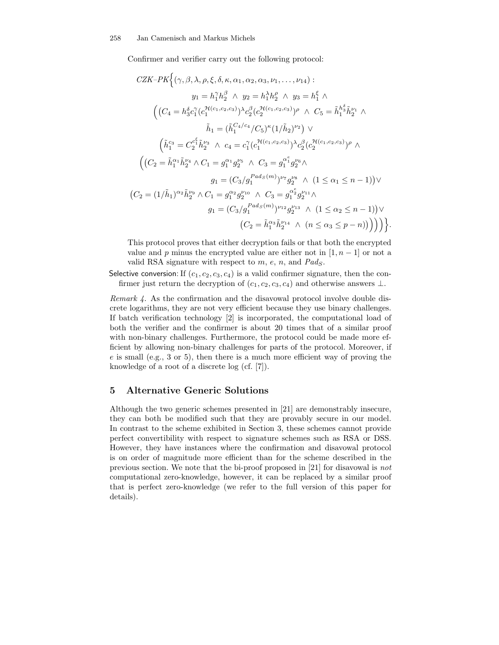Confirmer and verifier carry out the following protocol:

$$
CZK-PK\Big\{ (\gamma,\beta,\lambda,\rho,\xi,\delta,\kappa,\alpha_1,\alpha_2,\alpha_3,\nu_1,\ldots,\nu_{14}) : \ny_1 = h_1^{\gamma}h_2^{\beta} \wedge y_2 = h_1^{\lambda}h_2^{\rho} \wedge y_3 = h_1^{\xi} \wedge \n\left( (C_4 = h_3^{\delta}c_1^{\gamma}(c_1^{\mathcal{H}(c_1,c_2,c_3)})^{\lambda}c_2^{\beta}(c_2^{\mathcal{H}(c_1,c_2,c_3)})^{\rho} \wedge C_5 = \tilde{h}_1^{h_3^{\delta}}\tilde{h}_2^{\nu_1} \wedge \n\tilde{h}_1 = (\tilde{h}_1^{C_4/c_4}/C_5)^{\kappa}(1/\tilde{h}_2)^{\nu_2}) \vee \n\left(\tilde{h}_1^{c_3} = C_2^{c_1^{\xi}}\tilde{h}_2^{\nu_3} \wedge c_4 = c_1^{\gamma}(c_1^{\mathcal{H}(c_1,c_2,c_3)})^{\lambda}c_2^{\beta}(c_2^{\mathcal{H}(c_1,c_2,c_3)})^{\rho} \wedge \n\left( (C_2 = \tilde{h}_1^{\alpha_1}\tilde{h}_2^{\nu_4} \wedge C_1 = g_1^{\alpha_1}g_2^{\nu_5} \wedge C_3 = g_1^{\alpha_1^{\epsilon}}g_2^{\nu_6} \wedge \ng_1 = (C_3/g_1^{\mathcal{P}ads(m)})^{\nu_7}g_2^{\nu_8} \wedge (1 \leq \alpha_1 \leq n - 1)) \vee \n(C_2 = (1/\tilde{h}_1)^{\alpha_2}\tilde{h}_2^{\nu_9} \wedge C_1 = g_1^{\alpha_2}g_2^{\nu_{10}} \wedge C_3 = g_1^{\alpha_2^{\epsilon}}g_2^{\nu_{11}} \wedge \ng_1 = (C_3/g_1^{\mathcal{P}ads(m)})^{\nu_{12}}g_2^{\nu_{13}} \wedge (1 \leq \alpha_2 \leq n - 1)) \vee \n(C_2 = \tilde{h}_1^{\alpha_3}\tilde{h}_2^{\nu_{14}} \wedge (n \leq \alpha_3 \leq p - n
$$

This protocol proves that either decryption fails or that both the encrypted value and p minus the encrypted value are either not in  $[1, n - 1]$  or not a valid RSA signature with respect to  $m, e, n$ , and  $Pad_S$ .

Selective conversion: If  $(c_1, c_2, c_3, c_4)$  is a valid confirmer signature, then the confirmer just return the decryption of  $(c_1, c_2, c_3, c_4)$  and otherwise answers ⊥.

Remark 4. As the confirmation and the disavowal protocol involve double discrete logarithms, they are not very efficient because they use binary challenges. If batch verification technology [2] is incorporated, the computational load of both the verifier and the confirmer is about 20 times that of a similar proof with non-binary challenges. Furthermore, the protocol could be made more efficient by allowing non-binary challenges for parts of the protocol. Moreover, if e is small (e.g., 3 or 5), then there is a much more efficient way of proving the knowledge of a root of a discrete log (cf. [7]).

### 5 Alternative Generic Solutions

Although the two generic schemes presented in [21] are demonstrably insecure, they can both be modified such that they are provably secure in our model. In contrast to the scheme exhibited in Section 3, these schemes cannot provide perfect convertibility with respect to signature schemes such as RSA or DSS. However, they have instances where the confirmation and disavowal protocol is on order of magnitude more efficient than for the scheme described in the previous section. We note that the bi-proof proposed in [21] for disavowal is not computational zero-knowledge, however, it can be replaced by a similar proof that is perfect zero-knowledge (we refer to the full version of this paper for details).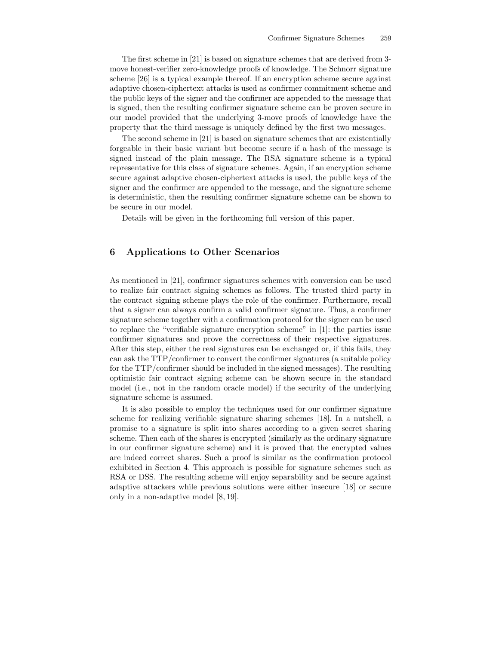The first scheme in [21] is based on signature schemes that are derived from 3 move honest-verifier zero-knowledge proofs of knowledge. The Schnorr signature scheme [26] is a typical example thereof. If an encryption scheme secure against adaptive chosen-ciphertext attacks is used as confirmer commitment scheme and the public keys of the signer and the confirmer are appended to the message that is signed, then the resulting confirmer signature scheme can be proven secure in our model provided that the underlying 3-move proofs of knowledge have the property that the third message is uniquely defined by the first two messages.

The second scheme in [21] is based on signature schemes that are existentially forgeable in their basic variant but become secure if a hash of the message is signed instead of the plain message. The RSA signature scheme is a typical representative for this class of signature schemes. Again, if an encryption scheme secure against adaptive chosen-ciphertext attacks is used, the public keys of the signer and the confirmer are appended to the message, and the signature scheme is deterministic, then the resulting confirmer signature scheme can be shown to be secure in our model.

Details will be given in the forthcoming full version of this paper.

# 6 Applications to Other Scenarios

As mentioned in [21], confirmer signatures schemes with conversion can be used to realize fair contract signing schemes as follows. The trusted third party in the contract signing scheme plays the role of the confirmer. Furthermore, recall that a signer can always confirm a valid confirmer signature. Thus, a confirmer signature scheme together with a confirmation protocol for the signer can be used to replace the "verifiable signature encryption scheme" in [1]: the parties issue confirmer signatures and prove the correctness of their respective signatures. After this step, either the real signatures can be exchanged or, if this fails, they can ask the TTP/confirmer to convert the confirmer signatures (a suitable policy for the TTP/confirmer should be included in the signed messages). The resulting optimistic fair contract signing scheme can be shown secure in the standard model (i.e., not in the random oracle model) if the security of the underlying signature scheme is assumed.

It is also possible to employ the techniques used for our confirmer signature scheme for realizing verifiable signature sharing schemes [18]. In a nutshell, a promise to a signature is split into shares according to a given secret sharing scheme. Then each of the shares is encrypted (similarly as the ordinary signature in our confirmer signature scheme) and it is proved that the encrypted values are indeed correct shares. Such a proof is similar as the confirmation protocol exhibited in Section 4. This approach is possible for signature schemes such as RSA or DSS. The resulting scheme will enjoy separability and be secure against adaptive attackers while previous solutions were either insecure [18] or secure only in a non-adaptive model [8, 19].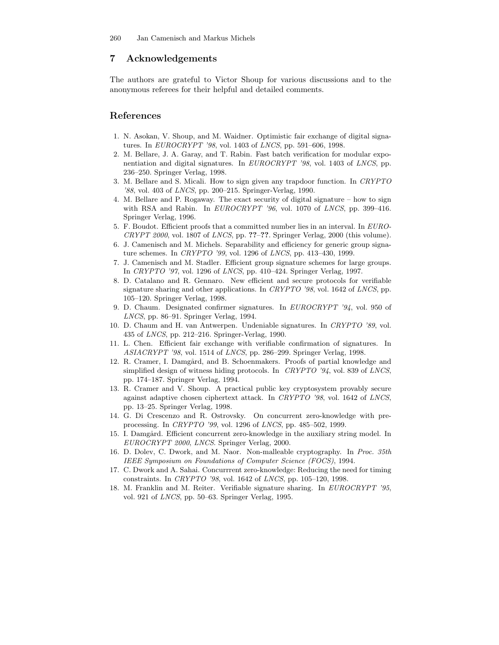# 7 Acknowledgements

The authors are grateful to Victor Shoup for various discussions and to the anonymous referees for their helpful and detailed comments.

# References

- 1. N. Asokan, V. Shoup, and M. Waidner. Optimistic fair exchange of digital signatures. In *EUROCRYPT* '98, vol. 1403 of *LNCS*, pp. 591–606, 1998.
- 2. M. Bellare, J. A. Garay, and T. Rabin. Fast batch verification for modular exponentiation and digital signatures. In EUROCRYPT '98, vol. 1403 of LNCS, pp. 236–250. Springer Verlag, 1998.
- 3. M. Bellare and S. Micali. How to sign given any trapdoor function. In CRYPTO '88, vol. 403 of LNCS, pp. 200–215. Springer-Verlag, 1990.
- 4. M. Bellare and P. Rogaway. The exact security of digital signature how to sign with RSA and Rabin. In  $EUROCRYPT$  '96, vol. 1070 of LNCS, pp. 399-416. Springer Verlag, 1996.
- 5. F. Boudot. Efficient proofs that a committed number lies in an interval. In EURO- $CRYPT 2000$ , vol. 1807 of  $LNCS$ , pp.  $??-??$ . Springer Verlag, 2000 (this volume).
- 6. J. Camenisch and M. Michels. Separability and efficiency for generic group signature schemes. In CRYPTO '99, vol. 1296 of LNCS, pp. 413–430, 1999.
- 7. J. Camenisch and M. Stadler. Efficient group signature schemes for large groups. In CRYPTO '97, vol. 1296 of LNCS, pp. 410–424. Springer Verlag, 1997.
- 8. D. Catalano and R. Gennaro. New efficient and secure protocols for verifiable signature sharing and other applications. In CRYPTO '98, vol. 1642 of LNCS, pp. 105–120. Springer Verlag, 1998.
- 9. D. Chaum. Designated confirmer signatures. In EUROCRYPT '94, vol. 950 of LNCS, pp. 86–91. Springer Verlag, 1994.
- 10. D. Chaum and H. van Antwerpen. Undeniable signatures. In CRYPTO '89, vol. 435 of LNCS, pp. 212–216. Springer-Verlag, 1990.
- 11. L. Chen. Efficient fair exchange with verifiable confirmation of signatures. In ASIACRYPT '98, vol. 1514 of LNCS, pp. 286–299. Springer Verlag, 1998.
- 12. R. Cramer, I. Damgård, and B. Schoenmakers. Proofs of partial knowledge and simplified design of witness hiding protocols. In CRYPTO '94, vol. 839 of LNCS, pp. 174–187. Springer Verlag, 1994.
- 13. R. Cramer and V. Shoup. A practical public key cryptosystem provably secure against adaptive chosen ciphertext attack. In CRYPTO '98, vol. 1642 of LNCS, pp. 13–25. Springer Verlag, 1998.
- 14. G. Di Crescenzo and R. Ostrovsky. On concurrent zero-knowledge with preprocessing. In CRYPTO '99, vol. 1296 of LNCS, pp. 485–502, 1999.
- 15. I. Damgård. Efficient concurrent zero-knowledge in the auxiliary string model. In EUROCRYPT 2000, LNCS. Springer Verlag, 2000.
- 16. D. Dolev, C. Dwork, and M. Naor. Non-malleable cryptography. In Proc. 35th IEEE Symposium on Foundations of Computer Science (FOCS), 1994.
- 17. C. Dwork and A. Sahai. Concurrrent zero-knowledge: Reducing the need for timing constraints. In CRYPTO '98, vol. 1642 of LNCS, pp. 105–120, 1998.
- 18. M. Franklin and M. Reiter. Verifiable signature sharing. In EUROCRYPT '95, vol. 921 of LNCS, pp. 50–63. Springer Verlag, 1995.